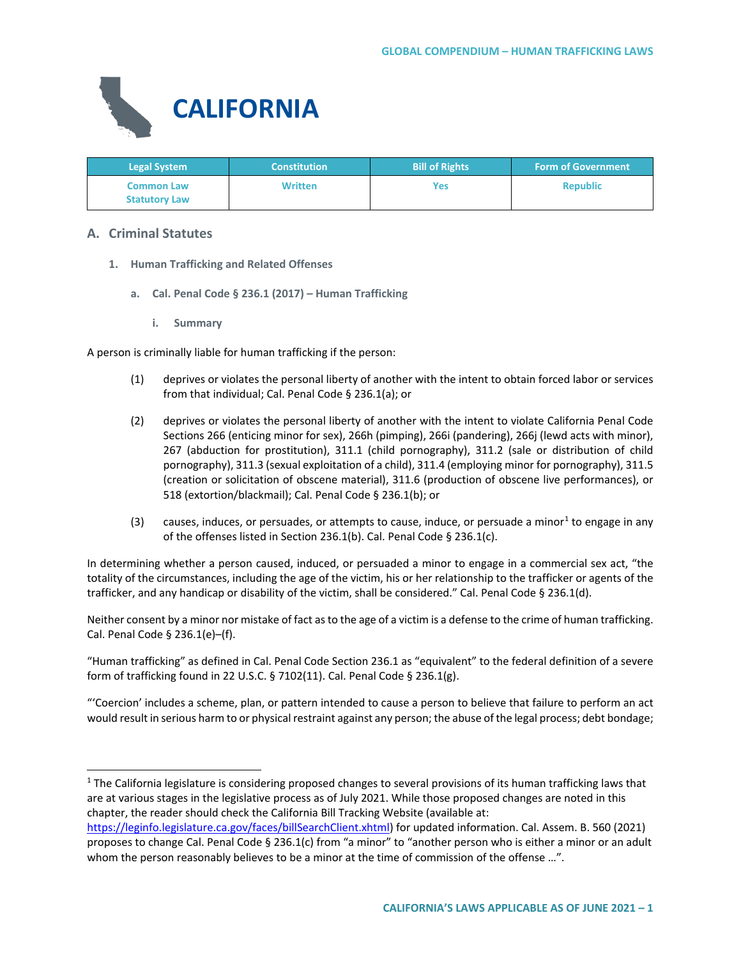

| <b>Legal System</b>                       | <b>Constitution</b> | <b>Bill of Rights</b> | <b>Form of Government</b> |
|-------------------------------------------|---------------------|-----------------------|---------------------------|
| <b>Common Law</b><br><b>Statutory Law</b> | <b>Written</b>      | <b>Yes</b>            | <b>Republic</b>           |

# **A. Criminal Statutes**

- **1. Human Trafficking and Related Offenses**
	- **a. Cal. Penal Code § 236.1 (2017) – Human Trafficking**
		- **i. Summary**

A person is criminally liable for human trafficking if the person:

- (1) deprives or violates the personal liberty of another with the intent to obtain forced labor or services from that individual; Cal. Penal Code § 236.1(a); or
- (2) deprives or violates the personal liberty of another with the intent to violate California Penal Code Sections 266 (enticing minor for sex), 266h (pimping), 266i (pandering), 266j (lewd acts with minor), 267 (abduction for prostitution), 311.1 (child pornography), 311.2 (sale or distribution of child pornography), 311.3 (sexual exploitation of a child), 311.4 (employing minor for pornography), 311.5 (creation or solicitation of obscene material), 311.6 (production of obscene live performances), or 518 (extortion/blackmail); Cal. Penal Code § 236.1(b); or
- (3) causes, induces, or persuades, or attempts to cause, induce, or persuade a minor<sup>[1](#page-0-0)</sup> to engage in any of the offenses listed in Section 236.1(b). Cal. Penal Code § 236.1(c).

In determining whether a person caused, induced, or persuaded a minor to engage in a commercial sex act, "the totality of the circumstances, including the age of the victim, his or her relationship to the trafficker or agents of the trafficker, and any handicap or disability of the victim, shall be considered." Cal. Penal Code § 236.1(d).

Neither consent by a minor nor mistake of fact as to the age of a victim is a defense to the crime of human trafficking. Cal. Penal Code § 236.1(e)–(f).

"Human trafficking" as defined in Cal. Penal Code Section 236.1 as "equivalent" to the federal definition of a severe form of trafficking found in 22 U.S.C. § 7102(11). Cal. Penal Code § 236.1(g).

"'Coercion' includes a scheme, plan, or pattern intended to cause a person to believe that failure to perform an act would result in serious harm to or physical restraint against any person; the abuse of the legal process; debt bondage;

<span id="page-0-0"></span> $1$  The California legislature is considering proposed changes to several provisions of its human trafficking laws that are at various stages in the legislative process as of July 2021. While those proposed changes are noted in this chapter, the reader should check the California Bill Tracking Website (available at:

[https://leginfo.legislature.ca.gov/faces/billSearchClient.xhtml\)](https://leginfo.legislature.ca.gov/faces/billSearchClient.xhtml) for updated information. Cal. Assem. B. 560 (2021) proposes to change Cal. Penal Code § 236.1(c) from "a minor" to "another person who is either a minor or an adult whom the person reasonably believes to be a minor at the time of commission of the offense ...".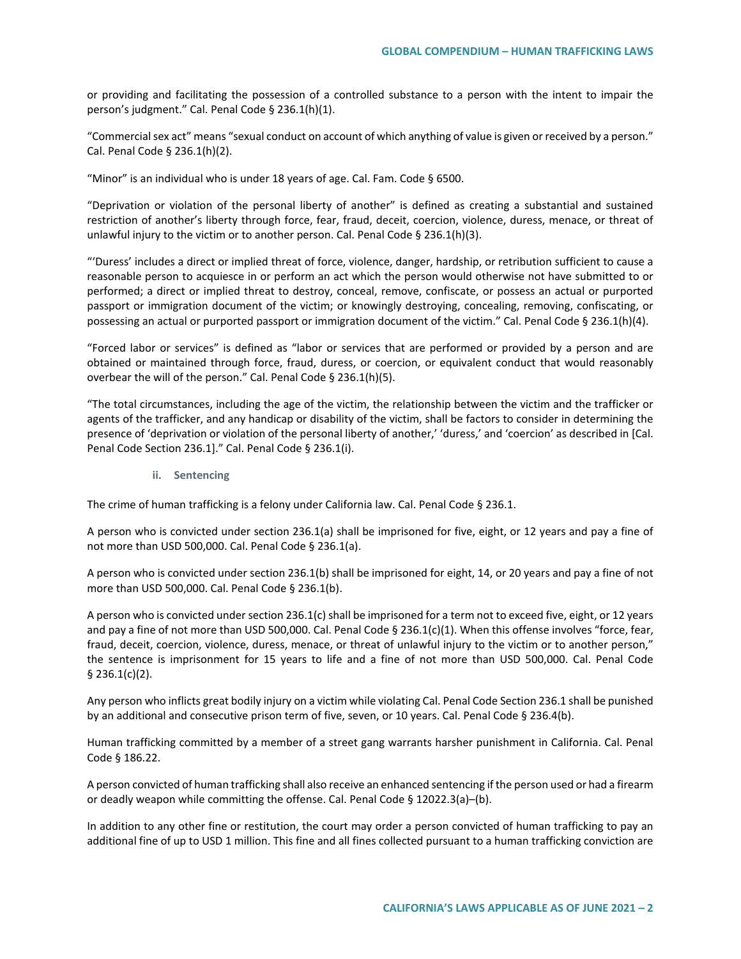or providing and facilitating the possession of a controlled substance to a person with the intent to impair the person's judgment." Cal. Penal Code § 236.1(h)(1).

"Commercial sex act" means "sexual conduct on account of which anything of value is given or received by a person." Cal. Penal Code § 236.1(h)(2).

"Minor" is an individual who is under 18 years of age. Cal. Fam. Code § 6500.

"Deprivation or violation of the personal liberty of another" is defined as creating a substantial and sustained restriction of another's liberty through force, fear, fraud, deceit, coercion, violence, duress, menace, or threat of unlawful injury to the victim or to another person. Cal. Penal Code § 236.1(h)(3).

"'Duress' includes a direct or implied threat of force, violence, danger, hardship, or retribution sufficient to cause a reasonable person to acquiesce in or perform an act which the person would otherwise not have submitted to or performed; a direct or implied threat to destroy, conceal, remove, confiscate, or possess an actual or purported passport or immigration document of the victim; or knowingly destroying, concealing, removing, confiscating, or possessing an actual or purported passport or immigration document of the victim." Cal. Penal Code § 236.1(h)(4).

"Forced labor or services" is defined as "labor or services that are performed or provided by a person and are obtained or maintained through force, fraud, duress, or coercion, or equivalent conduct that would reasonably overbear the will of the person." Cal. Penal Code § 236.1(h)(5).

"The total circumstances, including the age of the victim, the relationship between the victim and the trafficker or agents of the trafficker, and any handicap or disability of the victim, shall be factors to consider in determining the presence of 'deprivation or violation of the personal liberty of another,' 'duress,' and 'coercion' as described in [Cal. Penal Code Section 236.1]." Cal. Penal Code § 236.1(i).

**ii. Sentencing**

The crime of human trafficking is a felony under California law. Cal. Penal Code § 236.1.

A person who is convicted under section 236.1(a) shall be imprisoned for five, eight, or 12 years and pay a fine of not more than USD 500,000. Cal. Penal Code § 236.1(a).

A person who is convicted under section 236.1(b) shall be imprisoned for eight, 14, or 20 years and pay a fine of not more than USD 500,000. Cal. Penal Code § 236.1(b).

A person who is convicted under section 236.1(c) shall be imprisoned for a term not to exceed five, eight, or 12 years and pay a fine of not more than USD 500,000. Cal. Penal Code § 236.1(c)(1). When this offense involves "force, fear, fraud, deceit, coercion, violence, duress, menace, or threat of unlawful injury to the victim or to another person," the sentence is imprisonment for 15 years to life and a fine of not more than USD 500,000. Cal. Penal Code  $§$  236.1(c)(2).

Any person who inflicts great bodily injury on a victim while violating Cal. Penal Code Section 236.1 shall be punished by an additional and consecutive prison term of five, seven, or 10 years. Cal. Penal Code § 236.4(b).

Human trafficking committed by a member of a street gang warrants harsher punishment in California. Cal. Penal Code § 186.22.

A person convicted of human trafficking shall also receive an enhanced sentencing if the person used or had a firearm or deadly weapon while committing the offense. Cal. Penal Code § 12022.3(a)–(b).

In addition to any other fine or restitution, the court may order a person convicted of human trafficking to pay an additional fine of up to USD 1 million. This fine and all fines collected pursuant to a human trafficking conviction are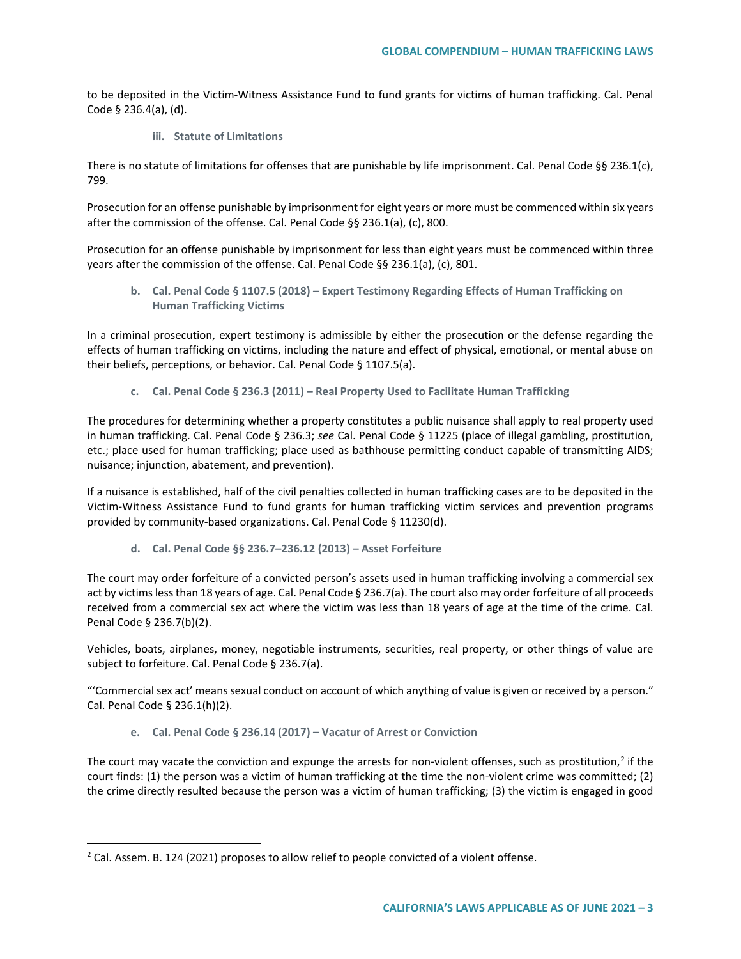to be deposited in the Victim-Witness Assistance Fund to fund grants for victims of human trafficking. Cal. Penal Code § 236.4(a), (d).

**iii. Statute of Limitations**

There is no statute of limitations for offenses that are punishable by life imprisonment. Cal. Penal Code §§ 236.1(c), 799.

Prosecution for an offense punishable by imprisonment for eight years or more must be commenced within six years after the commission of the offense. Cal. Penal Code §§ 236.1(a), (c), 800.

Prosecution for an offense punishable by imprisonment for less than eight years must be commenced within three years after the commission of the offense. Cal. Penal Code §§ 236.1(a), (c), 801.

**b. Cal. Penal Code § 1107.5 (2018) – Expert Testimony Regarding Effects of Human Trafficking on Human Trafficking Victims**

In a criminal prosecution, expert testimony is admissible by either the prosecution or the defense regarding the effects of human trafficking on victims, including the nature and effect of physical, emotional, or mental abuse on their beliefs, perceptions, or behavior. Cal. Penal Code § 1107.5(a).

**c. Cal. Penal Code § 236.3 (2011) – Real Property Used to Facilitate Human Trafficking**

The procedures for determining whether a property constitutes a public nuisance shall apply to real property used in human trafficking. Cal. Penal Code § 236.3; *see* Cal. Penal Code § 11225 (place of illegal gambling, prostitution, etc.; place used for human trafficking; place used as bathhouse permitting conduct capable of transmitting AIDS; nuisance; injunction, abatement, and prevention).

If a nuisance is established, half of the civil penalties collected in human trafficking cases are to be deposited in the Victim-Witness Assistance Fund to fund grants for human trafficking victim services and prevention programs provided by community-based organizations. Cal. Penal Code § 11230(d).

**d. Cal. Penal Code §§ 236.7–236.12 (2013) – Asset Forfeiture**

The court may order forfeiture of a convicted person's assets used in human trafficking involving a commercial sex act by victims less than 18 years of age. Cal. Penal Code § 236.7(a). The court also may order forfeiture of all proceeds received from a commercial sex act where the victim was less than 18 years of age at the time of the crime. Cal. Penal Code § 236.7(b)(2).

Vehicles, boats, airplanes, money, negotiable instruments, securities, real property, or other things of value are subject to forfeiture. Cal. Penal Code § 236.7(a).

"'Commercial sex act' means sexual conduct on account of which anything of value is given or received by a person." Cal. Penal Code § 236.1(h)(2).

**e. Cal. Penal Code § 236.14 (2017) – Vacatur of Arrest or Conviction**

The court may vacate the conviction and expunge the arrests for non-violent offenses, such as prostitution,<sup>[2](#page-2-0)</sup> if the court finds: (1) the person was a victim of human trafficking at the time the non-violent crime was committed; (2) the crime directly resulted because the person was a victim of human trafficking; (3) the victim is engaged in good

<span id="page-2-0"></span> $2$  Cal. Assem. B. 124 (2021) proposes to allow relief to people convicted of a violent offense.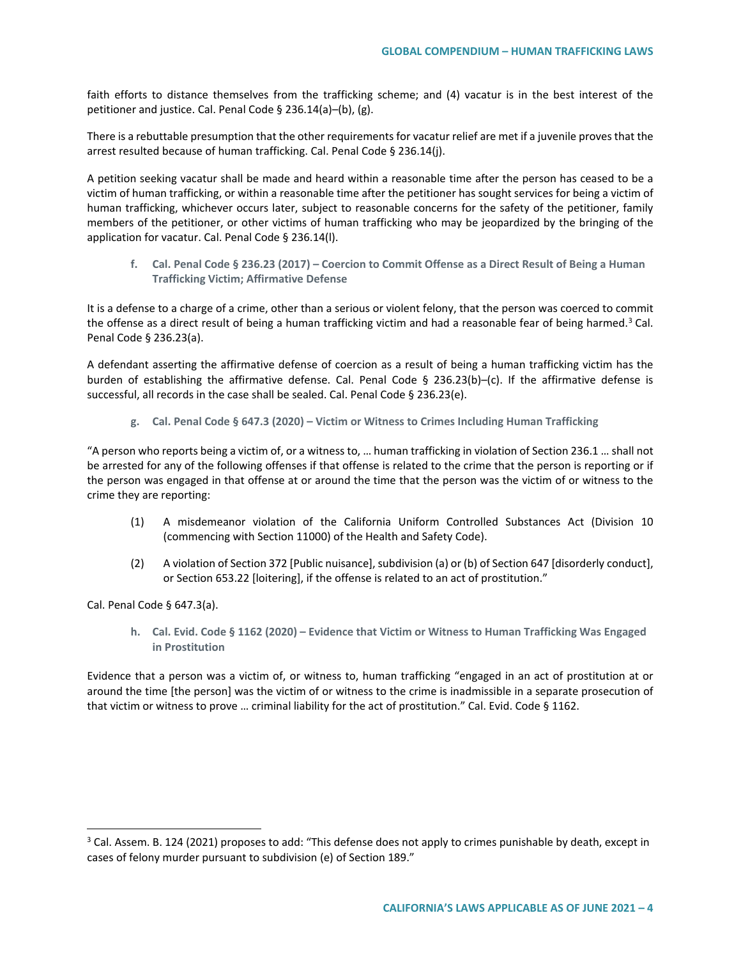faith efforts to distance themselves from the trafficking scheme; and (4) vacatur is in the best interest of the petitioner and justice. Cal. Penal Code § 236.14(a)–(b), (g).

There is a rebuttable presumption that the other requirements for vacatur relief are met if a juvenile proves that the arrest resulted because of human trafficking. Cal. Penal Code § 236.14(j).

A petition seeking vacatur shall be made and heard within a reasonable time after the person has ceased to be a victim of human trafficking, or within a reasonable time after the petitioner has sought services for being a victim of human trafficking, whichever occurs later, subject to reasonable concerns for the safety of the petitioner, family members of the petitioner, or other victims of human trafficking who may be jeopardized by the bringing of the application for vacatur. Cal. Penal Code § 236.14(l).

**f. Cal. Penal Code § 236.23 (2017) – Coercion to Commit Offense as a Direct Result of Being a Human Trafficking Victim; Affirmative Defense**

It is a defense to a charge of a crime, other than a serious or violent felony, that the person was coerced to commit the offense as a direct result of being a human trafficking victim and had a reasonable fear of being harmed.<sup>3</sup> Cal. Penal Code § 236.23(a).

A defendant asserting the affirmative defense of coercion as a result of being a human trafficking victim has the burden of establishing the affirmative defense. Cal. Penal Code § 236.23(b)–(c). If the affirmative defense is successful, all records in the case shall be sealed. Cal. Penal Code § 236.23(e).

**g. Cal. Penal Code § 647.3 (2020) – Victim or Witness to Crimes Including Human Trafficking**

"A person who reports being a victim of, or a witness to, … human trafficking in violation of Section 236.1 … shall not be arrested for any of the following offenses if that offense is related to the crime that the person is reporting or if the person was engaged in that offense at or around the time that the person was the victim of or witness to the crime they are reporting:

- (1) A misdemeanor violation of the California Uniform Controlled Substances Act (Division 10 (commencing with Section 11000) of the Health and Safety Code).
- (2) A violation of Section 372 [Public nuisance], subdivision (a) or (b) of Section 647 [disorderly conduct], or Section 653.22 [loitering], if the offense is related to an act of prostitution."

Cal. Penal Code § 647.3(a).

**h. Cal. Evid. Code § 1162 (2020) – Evidence that Victim or Witness to Human Trafficking Was Engaged in Prostitution**

Evidence that a person was a victim of, or witness to, human trafficking "engaged in an act of prostitution at or around the time [the person] was the victim of or witness to the crime is inadmissible in a separate prosecution of that victim or witness to prove ... criminal liability for the act of prostitution." Cal. Evid. Code § 1162.

<span id="page-3-0"></span><sup>&</sup>lt;sup>3</sup> Cal. Assem. B. 124 (2021) proposes to add: "This defense does not apply to crimes punishable by death, except in cases of felony murder pursuant to subdivision (e) of Section 189."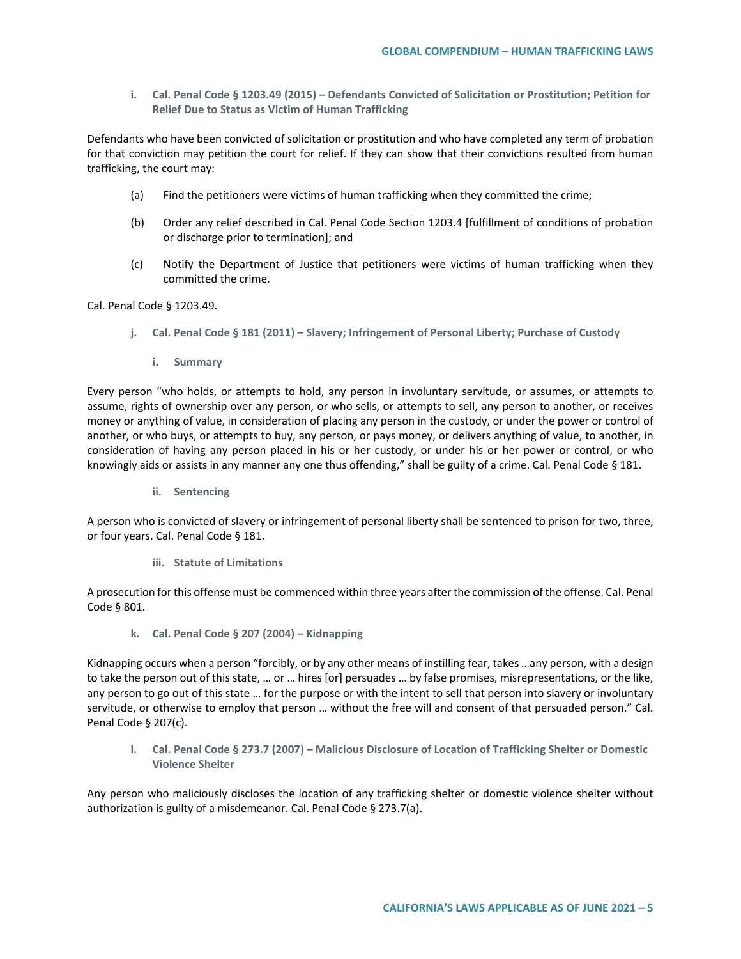**i. Cal. Penal Code § 1203.49 (2015) – Defendants Convicted of Solicitation or Prostitution; Petition for Relief Due to Status as Victim of Human Trafficking**

Defendants who have been convicted of solicitation or prostitution and who have completed any term of probation for that conviction may petition the court for relief. If they can show that their convictions resulted from human trafficking, the court may:

- (a) Find the petitioners were victims of human trafficking when they committed the crime;
- (b) Order any relief described in Cal. Penal Code Section 1203.4 [fulfillment of conditions of probation or discharge prior to termination]; and
- (c) Notify the Department of Justice that petitioners were victims of human trafficking when they committed the crime.

Cal. Penal Code § 1203.49.

- **j. Cal. Penal Code § 181 (2011) – Slavery; Infringement of Personal Liberty; Purchase of Custody**
	- **i. Summary**

Every person "who holds, or attempts to hold, any person in involuntary servitude, or assumes, or attempts to assume, rights of ownership over any person, or who sells, or attempts to sell, any person to another, or receives money or anything of value, in consideration of placing any person in the custody, or under the power or control of another, or who buys, or attempts to buy, any person, or pays money, or delivers anything of value, to another, in consideration of having any person placed in his or her custody, or under his or her power or control, or who knowingly aids or assists in any manner any one thus offending," shall be guilty of a crime. Cal. Penal Code § 181.

**ii. Sentencing**

A person who is convicted of slavery or infringement of personal liberty shall be sentenced to prison for two, three, or four years. Cal. Penal Code § 181.

**iii. Statute of Limitations**

A prosecution for this offense must be commenced within three years after the commission of the offense. Cal. Penal Code § 801.

**k. Cal. Penal Code § 207 (2004) – Kidnapping**

Kidnapping occurs when a person "forcibly, or by any other means of instilling fear, takes …any person, with a design to take the person out of this state, … or … hires [or] persuades … by false promises, misrepresentations, or the like, any person to go out of this state ... for the purpose or with the intent to sell that person into slavery or involuntary servitude, or otherwise to employ that person … without the free will and consent of that persuaded person." Cal. Penal Code § 207(c).

**l. Cal. Penal Code § 273.7 (2007) – Malicious Disclosure of Location of Trafficking Shelter or Domestic Violence Shelter**

Any person who maliciously discloses the location of any trafficking shelter or domestic violence shelter without authorization is guilty of a misdemeanor. Cal. Penal Code § 273.7(a).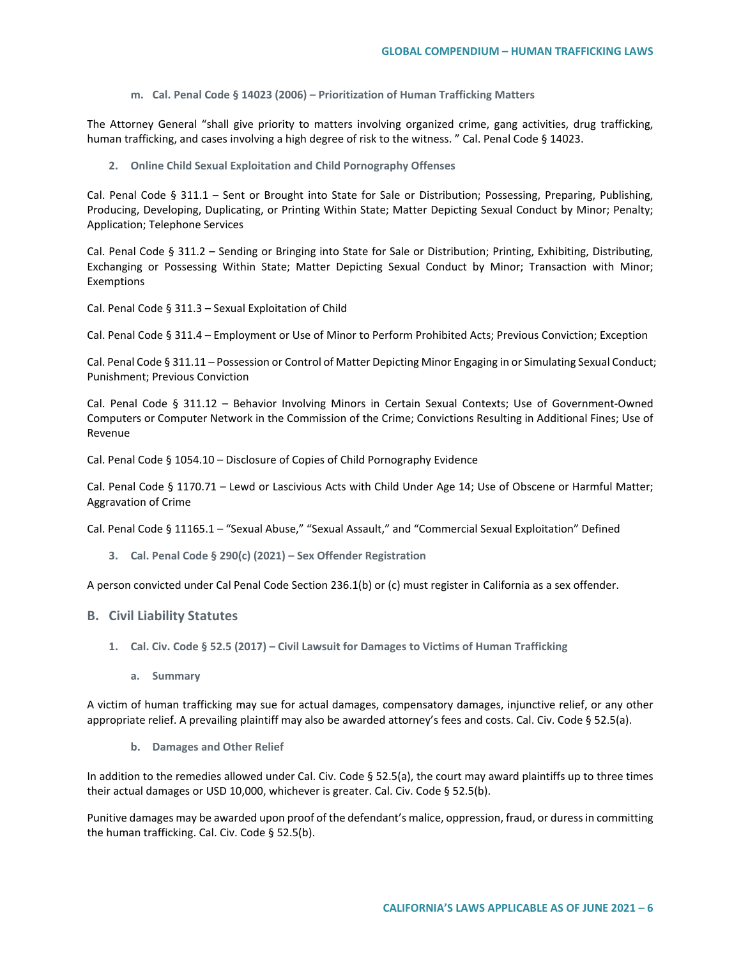**m. Cal. Penal Code § 14023 (2006) – Prioritization of Human Trafficking Matters**

The Attorney General "shall give priority to matters involving organized crime, gang activities, drug trafficking, human trafficking, and cases involving a high degree of risk to the witness. " Cal. Penal Code § 14023.

**2. Online Child Sexual Exploitation and Child Pornography Offenses**

Cal. Penal Code § 311.1 – Sent or Brought into State for Sale or Distribution; Possessing, Preparing, Publishing, Producing, Developing, Duplicating, or Printing Within State; Matter Depicting Sexual Conduct by Minor; Penalty; Application; Telephone Services

Cal. Penal Code § 311.2 – Sending or Bringing into State for Sale or Distribution; Printing, Exhibiting, Distributing, Exchanging or Possessing Within State; Matter Depicting Sexual Conduct by Minor; Transaction with Minor; Exemptions

Cal. Penal Code § 311.3 – Sexual Exploitation of Child

Cal. Penal Code § 311.4 – Employment or Use of Minor to Perform Prohibited Acts; Previous Conviction; Exception

Cal. Penal Code § 311.11 – Possession or Control of Matter Depicting Minor Engaging in or Simulating Sexual Conduct; Punishment; Previous Conviction

Cal. Penal Code § 311.12 – Behavior Involving Minors in Certain Sexual Contexts; Use of Government-Owned Computers or Computer Network in the Commission of the Crime; Convictions Resulting in Additional Fines; Use of Revenue

Cal. Penal Code § 1054.10 – Disclosure of Copies of Child Pornography Evidence

Cal. Penal Code § 1170.71 – Lewd or Lascivious Acts with Child Under Age 14; Use of Obscene or Harmful Matter; Aggravation of Crime

Cal. Penal Code § 11165.1 – "Sexual Abuse," "Sexual Assault," and "Commercial Sexual Exploitation" Defined

**3. Cal. Penal Code § 290(c) (2021) – Sex Offender Registration**

A person convicted under Cal Penal Code Section 236.1(b) or (c) must register in California as a sex offender.

### **B. Civil Liability Statutes**

- **1. Cal. Civ. Code § 52.5 (2017) – Civil Lawsuit for Damages to Victims of Human Trafficking**
	- **a. Summary**

A victim of human trafficking may sue for actual damages, compensatory damages, injunctive relief, or any other appropriate relief. A prevailing plaintiff may also be awarded attorney's fees and costs. Cal. Civ. Code § 52.5(a).

**b. Damages and Other Relief**

In addition to the remedies allowed under Cal. Civ. Code  $\S$  52.5(a), the court may award plaintiffs up to three times their actual damages or USD 10,000, whichever is greater. Cal. Civ. Code § 52.5(b).

Punitive damages may be awarded upon proof of the defendant's malice, oppression, fraud, or duress in committing the human trafficking. Cal. Civ. Code § 52.5(b).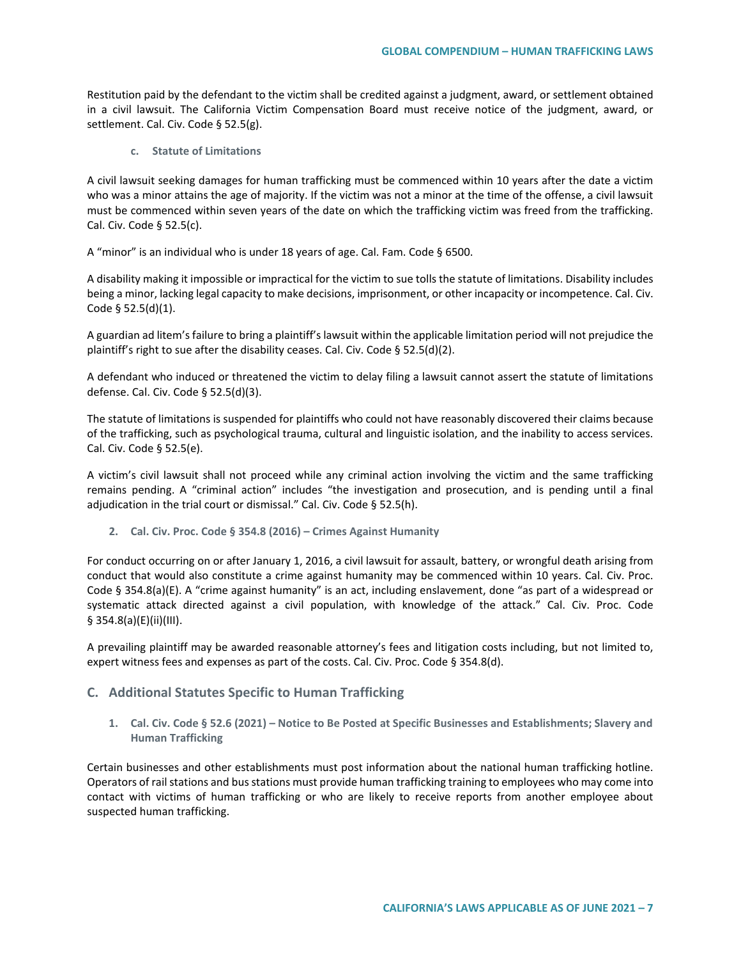Restitution paid by the defendant to the victim shall be credited against a judgment, award, or settlement obtained in a civil lawsuit. The California Victim Compensation Board must receive notice of the judgment, award, or settlement. Cal. Civ. Code § 52.5(g).

**c. Statute of Limitations**

A civil lawsuit seeking damages for human trafficking must be commenced within 10 years after the date a victim who was a minor attains the age of majority. If the victim was not a minor at the time of the offense, a civil lawsuit must be commenced within seven years of the date on which the trafficking victim was freed from the trafficking. Cal. Civ. Code § 52.5(c).

A "minor" is an individual who is under 18 years of age. Cal. Fam. Code § 6500.

A disability making it impossible or impractical for the victim to sue tolls the statute of limitations. Disability includes being a minor, lacking legal capacity to make decisions, imprisonment, or other incapacity or incompetence. Cal. Civ. Code § 52.5(d)(1).

A guardian ad litem's failure to bring a plaintiff's lawsuit within the applicable limitation period will not prejudice the plaintiff's right to sue after the disability ceases. Cal. Civ. Code § 52.5(d)(2).

A defendant who induced or threatened the victim to delay filing a lawsuit cannot assert the statute of limitations defense. Cal. Civ. Code § 52.5(d)(3).

The statute of limitations is suspended for plaintiffs who could not have reasonably discovered their claims because of the trafficking, such as psychological trauma, cultural and linguistic isolation, and the inability to access services. Cal. Civ. Code § 52.5(e).

A victim's civil lawsuit shall not proceed while any criminal action involving the victim and the same trafficking remains pending. A "criminal action" includes "the investigation and prosecution, and is pending until a final adjudication in the trial court or dismissal." Cal. Civ. Code § 52.5(h).

**2. Cal. Civ. Proc. Code § 354.8 (2016) – Crimes Against Humanity**

For conduct occurring on or after January 1, 2016, a civil lawsuit for assault, battery, or wrongful death arising from conduct that would also constitute a crime against humanity may be commenced within 10 years. Cal. Civ. Proc. Code § 354.8(a)(E). A "crime against humanity" is an act, including enslavement, done "as part of a widespread or systematic attack directed against a civil population, with knowledge of the attack." Cal. Civ. Proc. Code § 354.8(a)(E)(ii)(III).

A prevailing plaintiff may be awarded reasonable attorney's fees and litigation costs including, but not limited to, expert witness fees and expenses as part of the costs. Cal. Civ. Proc. Code § 354.8(d).

## **C. Additional Statutes Specific to Human Trafficking**

**1. Cal. Civ. Code § 52.6 (2021) – Notice to Be Posted at Specific Businesses and Establishments; Slavery and Human Trafficking**

Certain businesses and other establishments must post information about the national human trafficking hotline. Operators of rail stations and bus stations must provide human trafficking training to employees who may come into contact with victims of human trafficking or who are likely to receive reports from another employee about suspected human trafficking.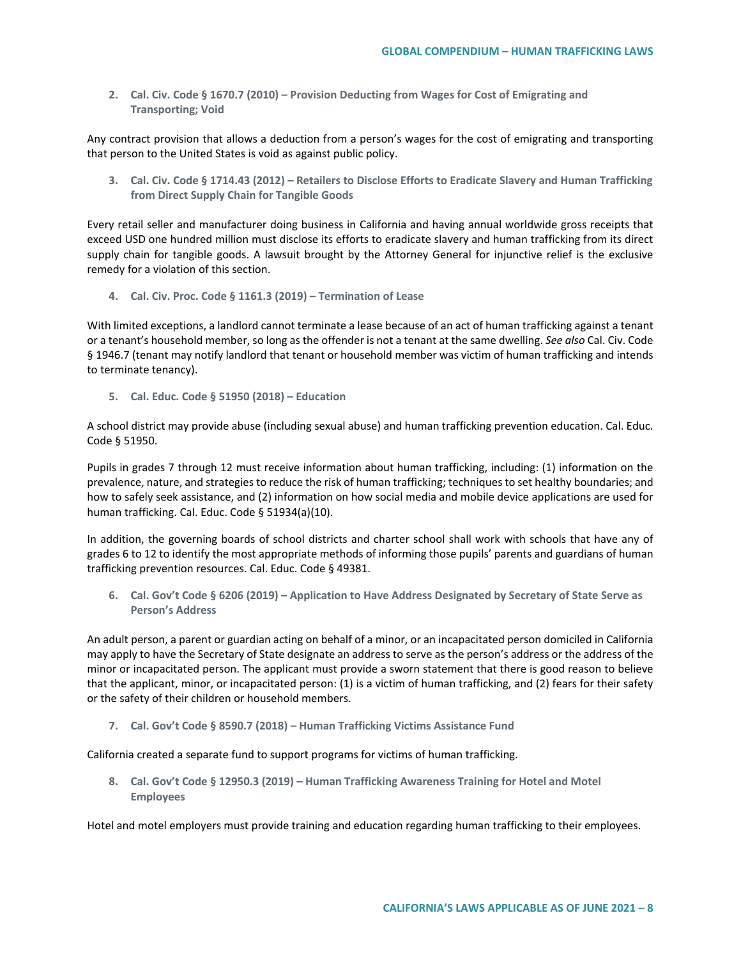**2. Cal. Civ. Code § 1670.7 (2010) – Provision Deducting from Wages for Cost of Emigrating and Transporting; Void**

Any contract provision that allows a deduction from a person's wages for the cost of emigrating and transporting that person to the United States is void as against public policy.

**3. Cal. Civ. Code § 1714.43 (2012) – Retailers to Disclose Efforts to Eradicate Slavery and Human Trafficking from Direct Supply Chain for Tangible Goods**

Every retail seller and manufacturer doing business in California and having annual worldwide gross receipts that exceed USD one hundred million must disclose its efforts to eradicate slavery and human trafficking from its direct supply chain for tangible goods. A lawsuit brought by the Attorney General for injunctive relief is the exclusive remedy for a violation of this section.

**4. Cal. Civ. Proc. Code § 1161.3 (2019) – Termination of Lease**

With limited exceptions, a landlord cannot terminate a lease because of an act of human trafficking against a tenant or a tenant's household member, so long as the offender is not a tenant at the same dwelling. *See also* Cal. Civ. Code § 1946.7 (tenant may notify landlord that tenant or household member was victim of human trafficking and intends to terminate tenancy).

**5. Cal. Educ. Code § 51950 (2018) – Education** 

A school district may provide abuse (including sexual abuse) and human trafficking prevention education. Cal. Educ. Code § 51950.

Pupils in grades 7 through 12 must receive information about human trafficking, including: (1) information on the prevalence, nature, and strategies to reduce the risk of human trafficking; techniques to set healthy boundaries; and how to safely seek assistance, and (2) information on how social media and mobile device applications are used for human trafficking. Cal. Educ. Code § 51934(a)(10).

In addition, the governing boards of school districts and charter school shall work with schools that have any of grades 6 to 12 to identify the most appropriate methods of informing those pupils' parents and guardians of human trafficking prevention resources. Cal. Educ. Code § 49381.

**6. Cal. Gov't Code § 6206 (2019) – Application to Have Address Designated by Secretary of State Serve as Person's Address**

An adult person, a parent or guardian acting on behalf of a minor, or an incapacitated person domiciled in California may apply to have the Secretary of State designate an address to serve as the person's address or the address of the minor or incapacitated person. The applicant must provide a sworn statement that there is good reason to believe that the applicant, minor, or incapacitated person: (1) is a victim of human trafficking, and (2) fears for their safety or the safety of their children or household members.

**7. Cal. Gov't Code § 8590.7 (2018) – Human Trafficking Victims Assistance Fund**

California created a separate fund to support programs for victims of human trafficking.

**8. Cal. Gov't Code § 12950.3 (2019) – Human Trafficking Awareness Training for Hotel and Motel Employees**

Hotel and motel employers must provide training and education regarding human trafficking to their employees.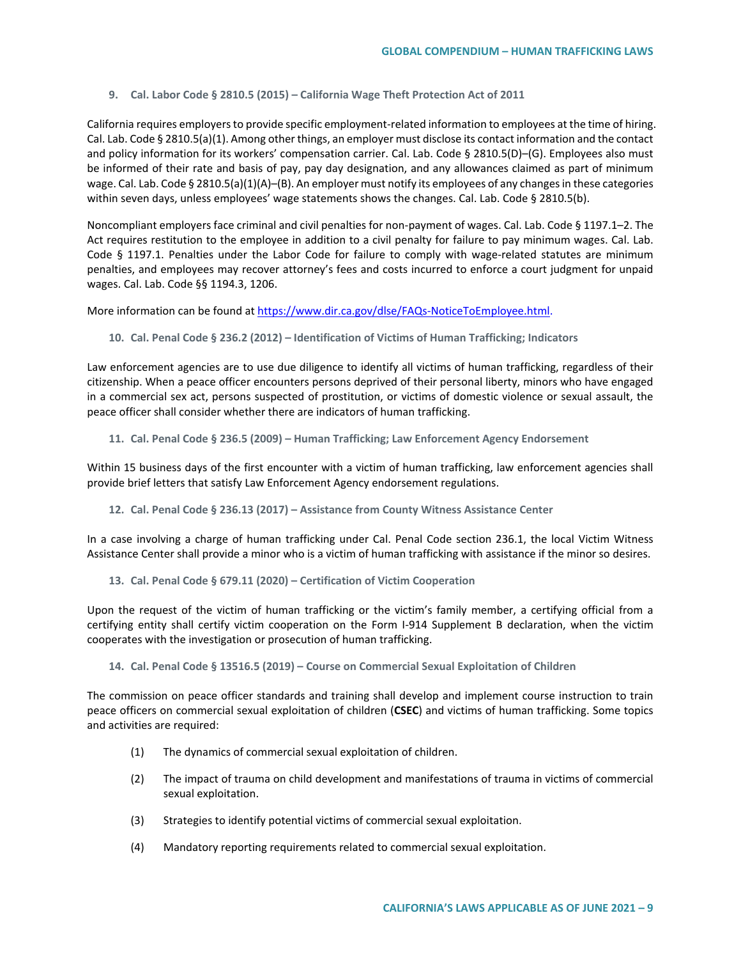### **9. Cal. Labor Code § 2810.5 (2015) – California Wage Theft Protection Act of 2011**

California requires employers to provide specific employment-related information to employees at the time of hiring. Cal. Lab. Code § 2810.5(a)(1). Among other things, an employer must disclose its contact information and the contact and policy information for its workers' compensation carrier. Cal. Lab. Code § 2810.5(D)-(G). Employees also must be informed of their rate and basis of pay, pay day designation, and any allowances claimed as part of minimum wage. Cal. Lab. Code § 2810.5(a)(1)(A)–(B). An employer must notify its employees of any changes in these categories within seven days, unless employees' wage statements shows the changes. Cal. Lab. Code § 2810.5(b).

Noncompliant employers face criminal and civil penalties for non-payment of wages. Cal. Lab. Code § 1197.1–2. The Act requires restitution to the employee in addition to a civil penalty for failure to pay minimum wages. Cal. Lab. Code § 1197.1. Penalties under the Labor Code for failure to comply with wage-related statutes are minimum penalties, and employees may recover attorney's fees and costs incurred to enforce a court judgment for unpaid wages. Cal. Lab. Code §§ 1194.3, 1206.

More information can be found at [https://www.dir.ca.gov/dlse/FAQs-NoticeToEmployee.html.](https://www.dir.ca.gov/dlse/FAQs-NoticeToEmployee.html)

**10. Cal. Penal Code § 236.2 (2012) – Identification of Victims of Human Trafficking; Indicators**

Law enforcement agencies are to use due diligence to identify all victims of human trafficking, regardless of their citizenship. When a peace officer encounters persons deprived of their personal liberty, minors who have engaged in a commercial sex act, persons suspected of prostitution, or victims of domestic violence or sexual assault, the peace officer shall consider whether there are indicators of human trafficking.

**11. Cal. Penal Code § 236.5 (2009) – Human Trafficking; Law Enforcement Agency Endorsement**

Within 15 business days of the first encounter with a victim of human trafficking, law enforcement agencies shall provide brief letters that satisfy Law Enforcement Agency endorsement regulations.

**12. Cal. Penal Code § 236.13 (2017) – Assistance from County Witness Assistance Center**

In a case involving a charge of human trafficking under Cal. Penal Code section 236.1, the local Victim Witness Assistance Center shall provide a minor who is a victim of human trafficking with assistance if the minor so desires.

**13. Cal. Penal Code § 679.11 (2020) – Certification of Victim Cooperation**

Upon the request of the victim of human trafficking or the victim's family member, a certifying official from a certifying entity shall certify victim cooperation on the Form I-914 Supplement B declaration, when the victim cooperates with the investigation or prosecution of human trafficking.

**14. Cal. Penal Code § 13516.5 (2019) – Course on Commercial Sexual Exploitation of Children**

The commission on peace officer standards and training shall develop and implement course instruction to train peace officers on commercial sexual exploitation of children (**CSEC**) and victims of human trafficking. Some topics and activities are required:

- (1) The dynamics of commercial sexual exploitation of children.
- (2) The impact of trauma on child development and manifestations of trauma in victims of commercial sexual exploitation.
- (3) Strategies to identify potential victims of commercial sexual exploitation.
- (4) Mandatory reporting requirements related to commercial sexual exploitation.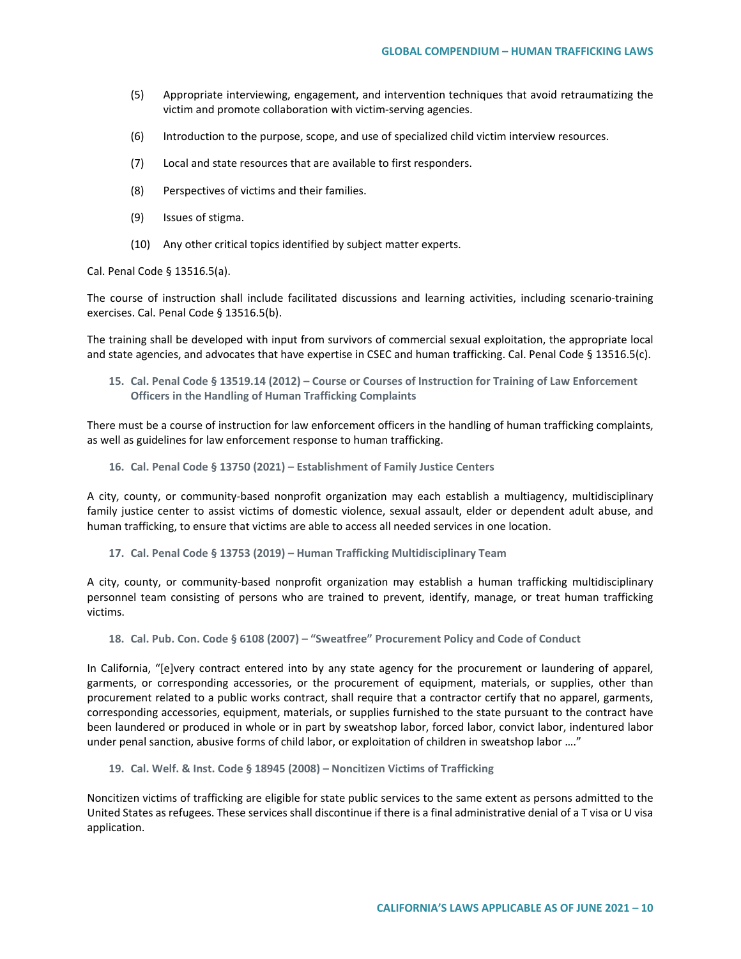- (5) Appropriate interviewing, engagement, and intervention techniques that avoid retraumatizing the victim and promote collaboration with victim-serving agencies.
- (6) Introduction to the purpose, scope, and use of specialized child victim interview resources.
- (7) Local and state resources that are available to first responders.
- (8) Perspectives of victims and their families.
- (9) Issues of stigma.
- (10) Any other critical topics identified by subject matter experts.

Cal. Penal Code § 13516.5(a).

The course of instruction shall include facilitated discussions and learning activities, including scenario-training exercises. Cal. Penal Code § 13516.5(b).

The training shall be developed with input from survivors of commercial sexual exploitation, the appropriate local and state agencies, and advocates that have expertise in CSEC and human trafficking. Cal. Penal Code § 13516.5(c).

**15. Cal. Penal Code § 13519.14 (2012) – Course or Courses of Instruction for Training of Law Enforcement Officers in the Handling of Human Trafficking Complaints**

There must be a course of instruction for law enforcement officers in the handling of human trafficking complaints, as well as guidelines for law enforcement response to human trafficking.

**16. Cal. Penal Code § 13750 (2021) – Establishment of Family Justice Centers**

A city, county, or community-based nonprofit organization may each establish a multiagency, multidisciplinary family justice center to assist victims of domestic violence, sexual assault, elder or dependent adult abuse, and human trafficking, to ensure that victims are able to access all needed services in one location.

**17. Cal. Penal Code § 13753 (2019) – Human Trafficking Multidisciplinary Team**

A city, county, or community-based nonprofit organization may establish a human trafficking multidisciplinary personnel team consisting of persons who are trained to prevent, identify, manage, or treat human trafficking victims.

**18. Cal. Pub. Con. Code § 6108 (2007) – "Sweatfree" Procurement Policy and Code of Conduct**

In California, "[e]very contract entered into by any state agency for the procurement or laundering of apparel, garments, or corresponding accessories, or the procurement of equipment, materials, or supplies, other than procurement related to a public works contract, shall require that a contractor certify that no apparel, garments, corresponding accessories, equipment, materials, or supplies furnished to the state pursuant to the contract have been laundered or produced in whole or in part by sweatshop labor, forced labor, convict labor, indentured labor under penal sanction, abusive forms of child labor, or exploitation of children in sweatshop labor …."

**19. Cal. Welf. & Inst. Code § 18945 (2008) – Noncitizen Victims of Trafficking**

Noncitizen victims of trafficking are eligible for state public services to the same extent as persons admitted to the United States as refugees. These services shall discontinue if there is a final administrative denial of a T visa or U visa application.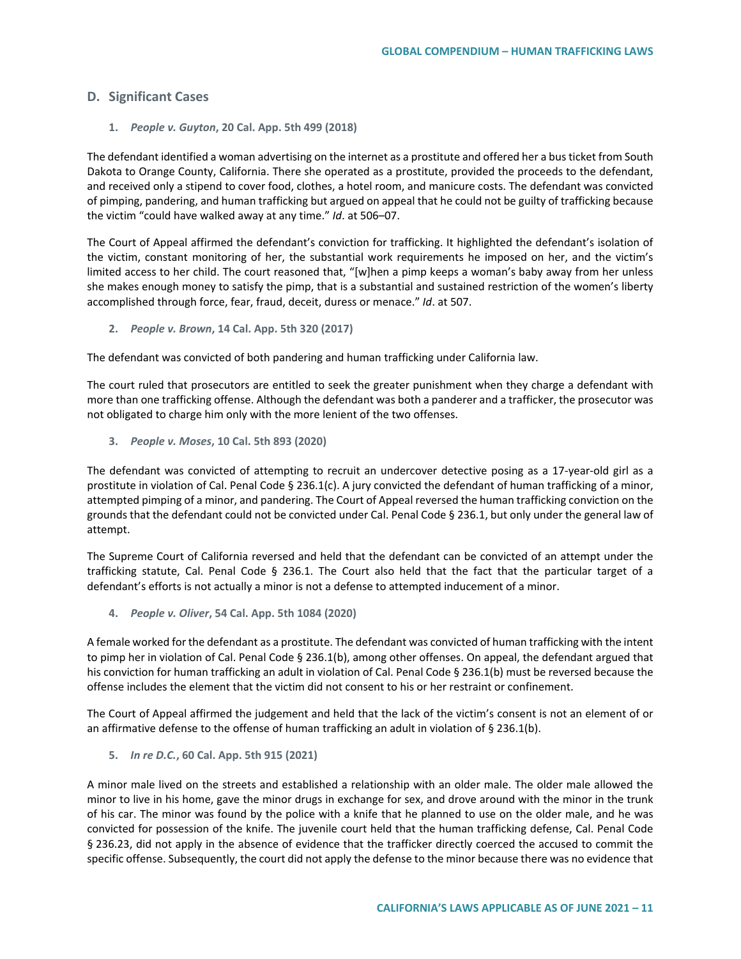## **D. Significant Cases**

**1.** *People v. Guyton***, 20 Cal. App. 5th 499 (2018)**

The defendant identified a woman advertising on the internet as a prostitute and offered her a bus ticket from South Dakota to Orange County, California. There she operated as a prostitute, provided the proceeds to the defendant, and received only a stipend to cover food, clothes, a hotel room, and manicure costs. The defendant was convicted of pimping, pandering, and human trafficking but argued on appeal that he could not be guilty of trafficking because the victim "could have walked away at any time." *Id*. at 506–07.

The Court of Appeal affirmed the defendant's conviction for trafficking. It highlighted the defendant's isolation of the victim, constant monitoring of her, the substantial work requirements he imposed on her, and the victim's limited access to her child. The court reasoned that, "[w]hen a pimp keeps a woman's baby away from her unless she makes enough money to satisfy the pimp, that is a substantial and sustained restriction of the women's liberty accomplished through force, fear, fraud, deceit, duress or menace." *Id*. at 507.

**2.** *People v. Brown***, 14 Cal. App. 5th 320 (2017)**

The defendant was convicted of both pandering and human trafficking under California law.

The court ruled that prosecutors are entitled to seek the greater punishment when they charge a defendant with more than one trafficking offense. Although the defendant was both a panderer and a trafficker, the prosecutor was not obligated to charge him only with the more lenient of the two offenses.

**3.** *People v. Moses***, 10 Cal. 5th 893 (2020)**

The defendant was convicted of attempting to recruit an undercover detective posing as a 17-year-old girl as a prostitute in violation of Cal. Penal Code § 236.1(c). A jury convicted the defendant of human trafficking of a minor, attempted pimping of a minor, and pandering. The Court of Appeal reversed the human trafficking conviction on the grounds that the defendant could not be convicted under Cal. Penal Code § 236.1, but only under the general law of attempt.

The Supreme Court of California reversed and held that the defendant can be convicted of an attempt under the trafficking statute, Cal. Penal Code § 236.1. The Court also held that the fact that the particular target of a defendant's efforts is not actually a minor is not a defense to attempted inducement of a minor.

**4.** *People v. Oliver***, 54 Cal. App. 5th 1084 (2020)**

A female worked for the defendant as a prostitute. The defendant was convicted of human trafficking with the intent to pimp her in violation of Cal. Penal Code § 236.1(b), among other offenses. On appeal, the defendant argued that his conviction for human trafficking an adult in violation of Cal. Penal Code § 236.1(b) must be reversed because the offense includes the element that the victim did not consent to his or her restraint or confinement.

The Court of Appeal affirmed the judgement and held that the lack of the victim's consent is not an element of or an affirmative defense to the offense of human trafficking an adult in violation of § 236.1(b).

**5.** *In re D.C.***, 60 Cal. App. 5th 915 (2021)**

A minor male lived on the streets and established a relationship with an older male. The older male allowed the minor to live in his home, gave the minor drugs in exchange for sex, and drove around with the minor in the trunk of his car. The minor was found by the police with a knife that he planned to use on the older male, and he was convicted for possession of the knife. The juvenile court held that the human trafficking defense, Cal. Penal Code § 236.23, did not apply in the absence of evidence that the trafficker directly coerced the accused to commit the specific offense. Subsequently, the court did not apply the defense to the minor because there was no evidence that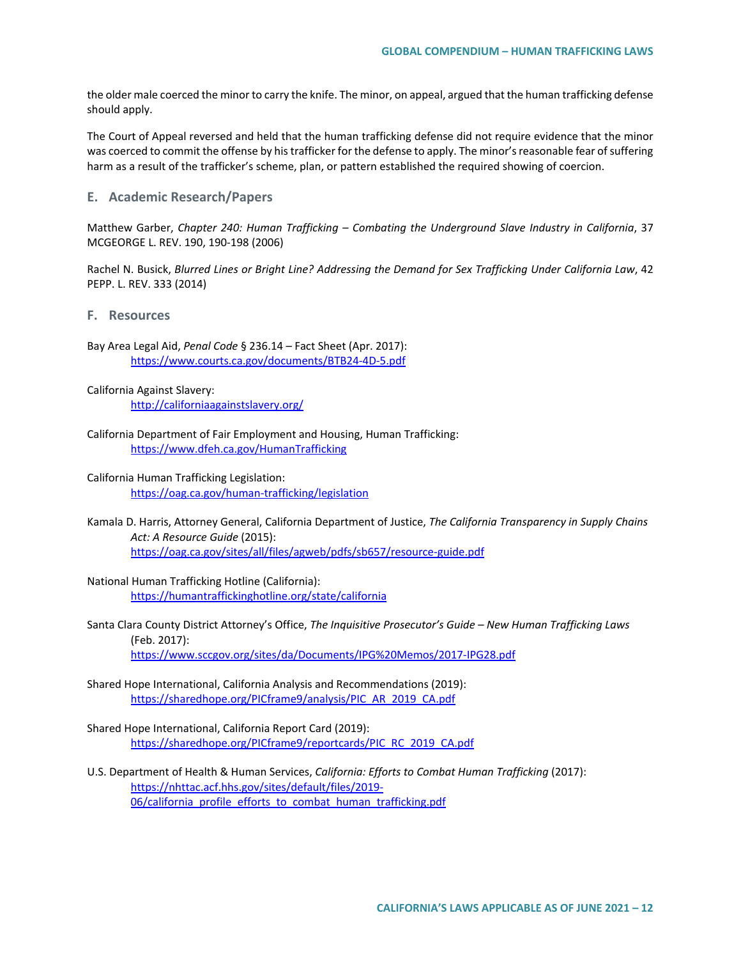the older male coerced the minor to carry the knife. The minor, on appeal, argued that the human trafficking defense should apply.

The Court of Appeal reversed and held that the human trafficking defense did not require evidence that the minor was coerced to commit the offense by his trafficker for the defense to apply. The minor's reasonable fear of suffering harm as a result of the trafficker's scheme, plan, or pattern established the required showing of coercion.

**E. Academic Research/Papers**

Matthew Garber, *Chapter 240: Human Trafficking – Combating the Underground Slave Industry in California*, 37 MCGEORGE L. REV. 190, 190-198 (2006)

Rachel N. Busick, *Blurred Lines or Bright Line? Addressing the Demand for Sex Trafficking Under California Law*, 42 PEPP. L. REV. 333 (2014)

**F. Resources**

Bay Area Legal Aid, *Penal Code* § 236.14 – Fact Sheet (Apr. 2017): <https://www.courts.ca.gov/documents/BTB24-4D-5.pdf>

California Against Slavery: <http://californiaagainstslavery.org/>

- California Department of Fair Employment and Housing, Human Trafficking: <https://www.dfeh.ca.gov/HumanTrafficking>
- California Human Trafficking Legislation: <https://oag.ca.gov/human-trafficking/legislation>
- Kamala D. Harris, Attorney General, California Department of Justice, *The California Transparency in Supply Chains Act: A Resource Guide* (2015): <https://oag.ca.gov/sites/all/files/agweb/pdfs/sb657/resource-guide.pdf>
- National Human Trafficking Hotline (California): <https://humantraffickinghotline.org/state/california>
- Santa Clara County District Attorney's Office, *The Inquisitive Prosecutor's Guide – New Human Trafficking Laws* (Feb. 2017): <https://www.sccgov.org/sites/da/Documents/IPG%20Memos/2017-IPG28.pdf>
- Shared Hope International, California Analysis and Recommendations (2019): [https://sharedhope.org/PICframe9/analysis/PIC\\_AR\\_2019\\_CA.pdf](https://sharedhope.org/PICframe9/analysis/PIC_AR_2019_CA.pdf)

Shared Hope International, California Report Card (2019): [https://sharedhope.org/PICframe9/reportcards/PIC\\_RC\\_2019\\_CA.pdf](https://sharedhope.org/PICframe9/reportcards/PIC_RC_2019_CA.pdf)

U.S. Department of Health & Human Services, *California: Efforts to Combat Human Trafficking* (2017): [https://nhttac.acf.hhs.gov/sites/default/files/2019-](https://nhttac.acf.hhs.gov/sites/default/files/2019-06/california_profile_efforts_to_combat_human_trafficking.pdf) [06/california\\_profile\\_efforts\\_to\\_combat\\_human\\_trafficking.pdf](https://nhttac.acf.hhs.gov/sites/default/files/2019-06/california_profile_efforts_to_combat_human_trafficking.pdf)